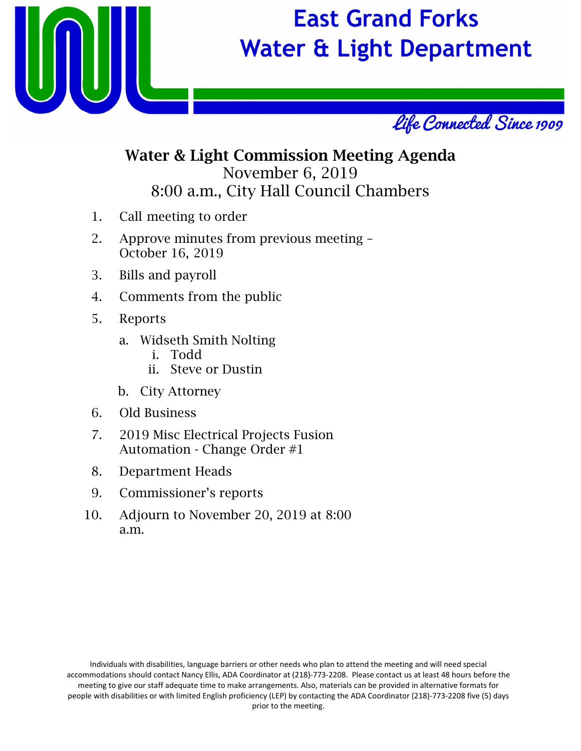

# **East Grand Forks Water & Light Department**



### Water & Light Commission Meeting Agenda November 6, 2019 8:00 a.m., City Hall Council Chambers

- 1. Call meeting to order
- 2. Approve minutes from previous meeting October 16, 2019
- 3. Bills and payroll
- 4. Comments from the public
- 5. Reports
	- a. Widseth Smith Nolting
		- i. Todd
		- ii. Steve or Dustin
	- b. City Attorney
- 6. Old Business
- 7. 2019 Misc Electrical Projects Fusion Automation - Change Order #1
- 8. Department Heads
- 9. Commissioner's reports
- 10. Adjourn to November 20, 2019 at 8:00 a.m.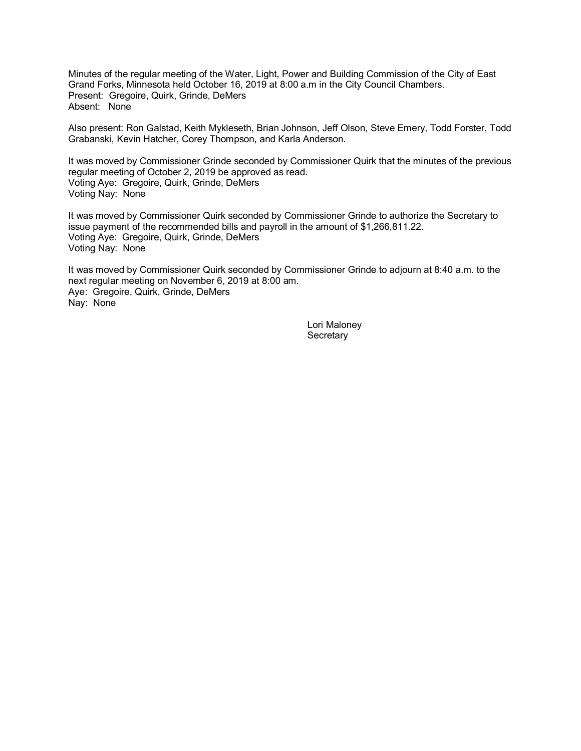Minutes of the regular meeting of the Water, Light, Power and Building Commission of the City of East Grand Forks, Minnesota held October 16, 2019 at 8:00 a.m in the City Council Chambers. Present: Gregoire, Quirk, Grinde, DeMers Absent: None

Also present: Ron Galstad, Keith Mykleseth, Brian Johnson, Jeff Olson, Steve Emery, Todd Forster, Todd Grabanski, Kevin Hatcher, Corey Thompson, and Karla Anderson.

It was moved by Commissioner Grinde seconded by Commissioner Quirk that the minutes of the previous regular meeting of October 2, 2019 be approved as read. Voting Aye: Gregoire, Quirk, Grinde, DeMers Voting Nay: None

It was moved by Commissioner Quirk seconded by Commissioner Grinde to authorize the Secretary to issue payment of the recommended bills and payroll in the amount of \$1,266,811.22. Voting Aye: Gregoire, Quirk, Grinde, DeMers Voting Nay: None

It was moved by Commissioner Quirk seconded by Commissioner Grinde to adjourn at 8:40 a.m. to the next regular meeting on November 6, 2019 at 8:00 am. Aye: Gregoire, Quirk, Grinde, DeMers Nay: None

> Lori Maloney **Secretary**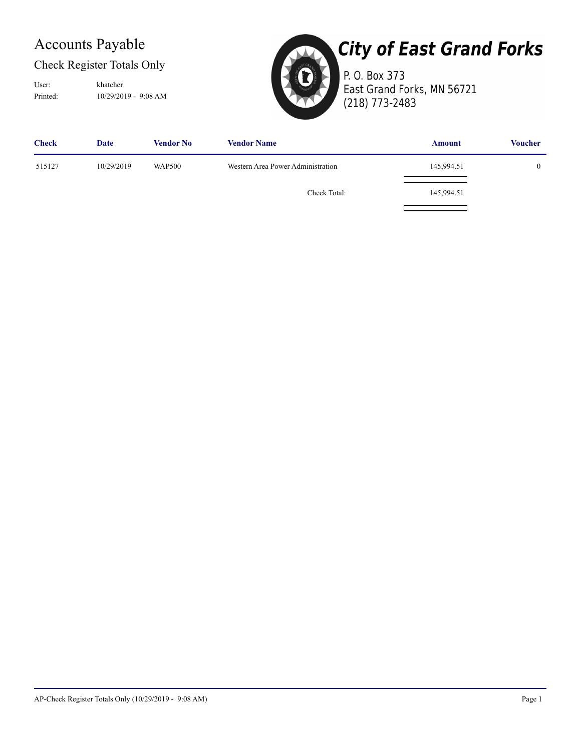## Accounts Payable

#### Check Register Totals Only

Printed: 10/29/2019 - 9:08 AM User: khatcher



# **City of East Grand Forks**

P. O. Box 373 East Grand Forks, MN 56721 (218) 773-2483

| <b>Check</b> | Date       | Vendor No     | <b>Vendor Name</b>                | <b>Amount</b> | <b>Voucher</b> |
|--------------|------------|---------------|-----------------------------------|---------------|----------------|
| 515127       | 10/29/2019 | <b>WAP500</b> | Western Area Power Administration | 145,994.51    | 0              |
|              |            |               | Check Total:                      | 145,994.51    |                |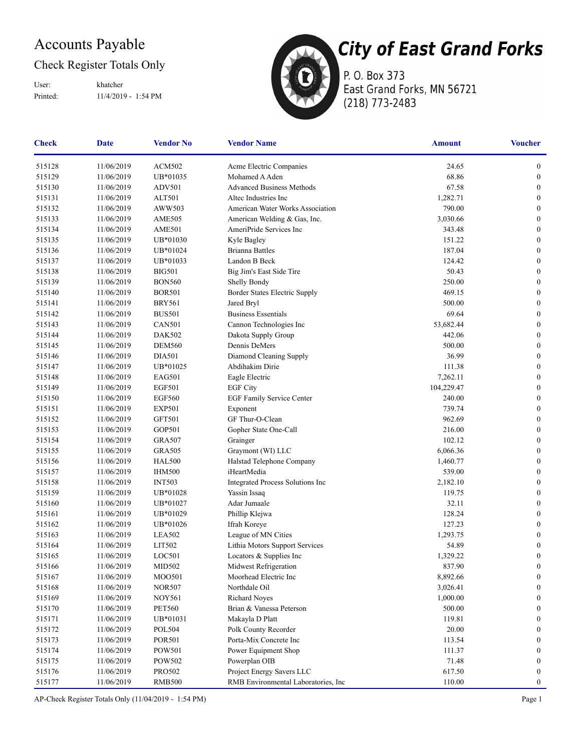## Accounts Payable

#### Check Register Totals Only

Printed: 11/4/2019 - 1:54 PM User: khatcher



P. O. Box 373 East Grand Forks, MN 56721 (218) 773-2483

| Check  | <b>Date</b> | <b>Vendor No</b> | <b>Vendor Name</b>                   | <b>Amount</b> | <b>Voucher</b>   |
|--------|-------------|------------------|--------------------------------------|---------------|------------------|
| 515128 | 11/06/2019  | <b>ACM502</b>    | Acme Electric Companies              | 24.65         | $\boldsymbol{0}$ |
| 515129 | 11/06/2019  | UB*01035         | Mohamed A Aden                       | 68.86         | $\boldsymbol{0}$ |
| 515130 | 11/06/2019  | <b>ADV501</b>    | <b>Advanced Business Methods</b>     | 67.58         | $\boldsymbol{0}$ |
| 515131 | 11/06/2019  | <b>ALT501</b>    | Altec Industries Inc                 | 1,282.71      | $\boldsymbol{0}$ |
| 515132 | 11/06/2019  | AWW503           | American Water Works Association     | 790.00        | $\boldsymbol{0}$ |
| 515133 | 11/06/2019  | <b>AME505</b>    | American Welding & Gas, Inc.         | 3,030.66      | $\boldsymbol{0}$ |
| 515134 | 11/06/2019  | <b>AME501</b>    | AmeriPride Services Inc              | 343.48        | $\boldsymbol{0}$ |
| 515135 | 11/06/2019  | UB*01030         | Kyle Bagley                          | 151.22        | $\boldsymbol{0}$ |
| 515136 | 11/06/2019  | UB*01024         | <b>Brianna Battles</b>               | 187.04        | $\boldsymbol{0}$ |
| 515137 | 11/06/2019  | UB*01033         | Landon B Beck                        | 124.42        | $\boldsymbol{0}$ |
| 515138 | 11/06/2019  | <b>BIG501</b>    | Big Jim's East Side Tire             | 50.43         | $\boldsymbol{0}$ |
| 515139 | 11/06/2019  | <b>BON560</b>    | Shelly Bondy                         | 250.00        | $\boldsymbol{0}$ |
| 515140 | 11/06/2019  | <b>BOR501</b>    | Border States Electric Supply        | 469.15        | $\boldsymbol{0}$ |
| 515141 | 11/06/2019  | <b>BRY561</b>    | Jared Bryl                           | 500.00        | $\boldsymbol{0}$ |
| 515142 | 11/06/2019  | <b>BUS501</b>    | <b>Business Essentials</b>           | 69.64         | $\boldsymbol{0}$ |
| 515143 | 11/06/2019  | <b>CAN501</b>    | Cannon Technologies Inc              | 53,682.44     | $\boldsymbol{0}$ |
| 515144 | 11/06/2019  | DAK502           | Dakota Supply Group                  | 442.06        | $\boldsymbol{0}$ |
| 515145 | 11/06/2019  | <b>DEM560</b>    | Dennis DeMers                        | 500.00        | $\boldsymbol{0}$ |
| 515146 | 11/06/2019  | <b>DIA501</b>    | Diamond Cleaning Supply              | 36.99         | $\boldsymbol{0}$ |
| 515147 | 11/06/2019  | UB*01025         | Abdihakim Dirie                      | 111.38        | $\boldsymbol{0}$ |
| 515148 | 11/06/2019  | EAG501           | Eagle Electric                       | 7,262.11      | $\boldsymbol{0}$ |
| 515149 | 11/06/2019  | <b>EGF501</b>    | <b>EGF City</b>                      | 104,229.47    | $\boldsymbol{0}$ |
| 515150 | 11/06/2019  | <b>EGF560</b>    | EGF Family Service Center            | 240.00        | $\boldsymbol{0}$ |
| 515151 | 11/06/2019  | <b>EXP501</b>    | Exponent                             | 739.74        | $\bf{0}$         |
| 515152 | 11/06/2019  | <b>GFT501</b>    | GF Thur-O-Clean                      | 962.69        | $\boldsymbol{0}$ |
| 515153 | 11/06/2019  | GOP501           | Gopher State One-Call                | 216.00        | $\boldsymbol{0}$ |
| 515154 | 11/06/2019  | <b>GRA507</b>    | Grainger                             | 102.12        | $\boldsymbol{0}$ |
| 515155 | 11/06/2019  | <b>GRA505</b>    | Graymont (WI) LLC                    | 6,066.36      | $\boldsymbol{0}$ |
| 515156 | 11/06/2019  | <b>HAL500</b>    | Halstad Telephone Company            | 1,460.77      | $\boldsymbol{0}$ |
| 515157 | 11/06/2019  | <b>IHM500</b>    | iHeartMedia                          | 539.00        | $\boldsymbol{0}$ |
| 515158 | 11/06/2019  | <b>INT503</b>    | Integrated Process Solutions Inc     | 2,182.10      | $\boldsymbol{0}$ |
| 515159 | 11/06/2019  | UB*01028         | Yassin Issaq                         | 119.75        | $\boldsymbol{0}$ |
| 515160 | 11/06/2019  | UB*01027         | Adar Jumaale                         | 32.11         | $\boldsymbol{0}$ |
| 515161 | 11/06/2019  | UB*01029         | Phillip Klejwa                       | 128.24        | $\boldsymbol{0}$ |
| 515162 | 11/06/2019  | UB*01026         | Ifrah Koreye                         | 127.23        | $\boldsymbol{0}$ |
| 515163 | 11/06/2019  | <b>LEA502</b>    | League of MN Cities                  | 1,293.75      | $\boldsymbol{0}$ |
| 515164 | 11/06/2019  | LIT502           | Lithia Motors Support Services       | 54.89         | $\bf{0}$         |
| 515165 | 11/06/2019  | LOC501           | Locators & Supplies Inc              | 1,329.22      | $\boldsymbol{0}$ |
| 515166 | 11/06/2019  | MID502           | Midwest Refrigeration                | 837.90        | $\boldsymbol{0}$ |
| 515167 | 11/06/2019  | MOO501           | Moorhead Electric Inc                | 8,892.66      | $\boldsymbol{0}$ |
| 515168 | 11/06/2019  | <b>NOR507</b>    | Northdale Oil                        | 3,026.41      | $\boldsymbol{0}$ |
| 515169 | 11/06/2019  | <b>NOY561</b>    | <b>Richard Noyes</b>                 | 1,000.00      | $\bf{0}$         |
| 515170 | 11/06/2019  | <b>PET560</b>    | Brian & Vanessa Peterson             | 500.00        | $\bf{0}$         |
| 515171 | 11/06/2019  | UB*01031         | Makayla D Platt                      | 119.81        | $\bf{0}$         |
| 515172 | 11/06/2019  | <b>POL504</b>    | Polk County Recorder                 | 20.00         | $\mathbf{0}$     |
| 515173 | 11/06/2019  | <b>POR501</b>    | Porta-Mix Concrete Inc               | 113.54        | $\bf{0}$         |
| 515174 | 11/06/2019  | POW501           | Power Equipment Shop                 | 111.37        | $\boldsymbol{0}$ |
| 515175 | 11/06/2019  | POW502           | Powerplan OIB                        | 71.48         | $\boldsymbol{0}$ |
| 515176 | 11/06/2019  | <b>PRO502</b>    | Project Energy Savers LLC            | 617.50        | $\bf{0}$         |
| 515177 | 11/06/2019  | <b>RMB500</b>    | RMB Environmental Laboratories, Inc. | 110.00        | $\boldsymbol{0}$ |

AP-Check Register Totals Only (11/04/2019 - 1:54 PM) Page 1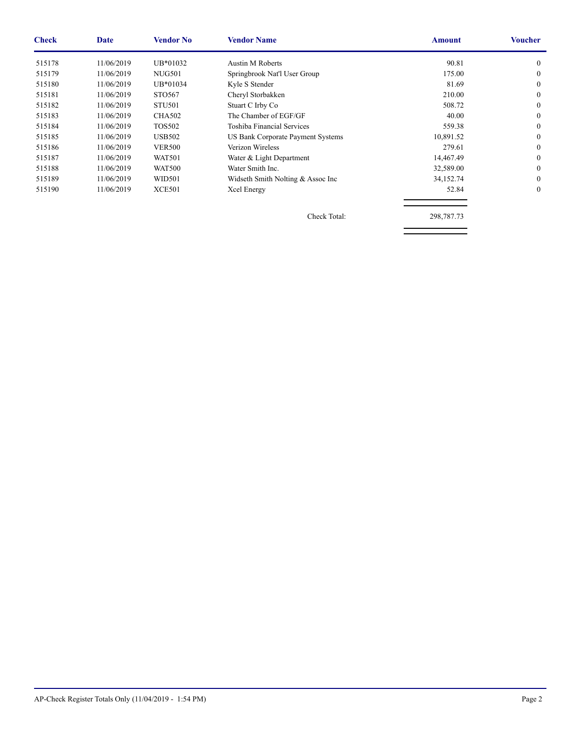| <b>Check</b> | <b>Date</b> | <b>Vendor No</b> | <b>Vendor Name</b>                | <b>Amount</b> | <b>Voucher</b> |
|--------------|-------------|------------------|-----------------------------------|---------------|----------------|
| 515178       | 11/06/2019  | UB*01032         | <b>Austin M Roberts</b>           | 90.81         | $\theta$       |
| 515179       | 11/06/2019  | <b>NUG501</b>    | Springbrook Nat'l User Group      | 175.00        | $\Omega$       |
| 515180       | 11/06/2019  | UB*01034         | Kyle S Stender                    | 81.69         | $\theta$       |
| 515181       | 11/06/2019  | STO567           | Cheryl Storbakken                 | 210.00        | $\theta$       |
| 515182       | 11/06/2019  | <b>STU501</b>    | Stuart C Irby Co                  | 508.72        | $\Omega$       |
| 515183       | 11/06/2019  | <b>CHA502</b>    | The Chamber of EGF/GF             | 40.00         | $\Omega$       |
| 515184       | 11/06/2019  | <b>TOS502</b>    | Toshiba Financial Services        | 559.38        | $\Omega$       |
| 515185       | 11/06/2019  | <b>USB502</b>    | US Bank Corporate Payment Systems | 10,891.52     | $\Omega$       |
| 515186       | 11/06/2019  | <b>VER500</b>    | Verizon Wireless                  | 279.61        | $\theta$       |
| 515187       | 11/06/2019  | <b>WAT501</b>    | Water & Light Department          | 14,467.49     | $\Omega$       |
| 515188       | 11/06/2019  | <b>WAT500</b>    | Water Smith Inc.                  | 32,589.00     | $\Omega$       |
| 515189       | 11/06/2019  | WID501           | Widseth Smith Nolting & Assoc Inc | 34,152.74     | $\Omega$       |
| 515190       | 11/06/2019  | <b>XCE501</b>    | Xcel Energy                       | 52.84         | $\theta$       |
|              |             |                  | Check Total:                      | 298,787.73    |                |

AP-Check Register Totals Only (11/04/2019 - 1:54 PM) Page 2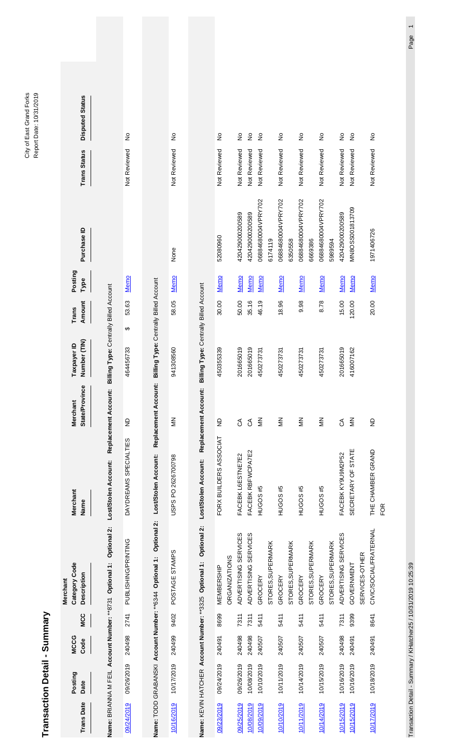|                   | Transaction Detail - Summary |                     |            |                                                                        |                                     |                                        |                                               |                        |                 |                               |                     | Report Date: 10/31/2019             |  |
|-------------------|------------------------------|---------------------|------------|------------------------------------------------------------------------|-------------------------------------|----------------------------------------|-----------------------------------------------|------------------------|-----------------|-------------------------------|---------------------|-------------------------------------|--|
| <b>Trans Date</b> | Posting<br>Date              | <b>MCCG</b><br>Code | <b>MCC</b> | Category Code<br>Description<br>Merchant                               | Merchant<br>Name                    | <b>State/Province</b><br>chant<br>Neri | Number (TIN)<br>Taxpayer ID                   | Amount<br><b>Trans</b> | Posting<br>Type | Purchase ID                   | <b>Trans Status</b> | <b>Disputed Status</b>              |  |
|                   |                              |                     |            | Optional 2:<br>Name: BRIANNA M FEIL Account Number: **8731 Optional 1: | Replacement<br>Lost/Stolen Account: | Account:                               | <b>Billing Type: Centrally Billed Account</b> |                        |                 |                               |                     |                                     |  |
| 09/24/2019        | 09/26/2019                   | 240498              | 2741       | PUBLISHING/PRINTING                                                    | DAYDREAMS SPECIALTIES               | ę                                      | ↮<br>464456733                                | 53.63                  | Memo            |                               | Not Reviewed        | $\frac{1}{2}$                       |  |
|                   |                              |                     |            | Name: TODD GRABANSKI Account Number: **6344 Optional 1: Optional 2:    | Lost/Stolen Account:                | Replacement Account:                   | Billing Type: Centrally Billed Account        |                        |                 |                               |                     |                                     |  |
| 10/16/2019        | 10/17/2019                   | 240499              | 9402       | POSTAGE STAMPS                                                         | USPS PO 2626700798                  | $\leq$                                 | 941308560                                     | 58.05                  | Memo            | None                          | Not Reviewed        | $\frac{1}{2}$                       |  |
|                   |                              |                     |            | Name: KEVIN HATCHER Account Number: **3325 Optional 1: Optional 2:     | Replacement<br>Lost/Stolen Account: | Account:                               | Billing Type: Centrally Billed Account        |                        |                 |                               |                     |                                     |  |
| 09/23/2019        | 09/24/2019                   | 240491              | 8699       | MEMBERSHIP                                                             | FORX BUILDERS ASSOCIAT              | $\frac{1}{2}$                          | 450355339                                     | 30.00                  | <u>Memo</u>     | 52080960                      | Not Reviewed        | $\frac{1}{2}$                       |  |
|                   |                              |                     |            | <b>ORGANIZATIONS</b>                                                   |                                     |                                        |                                               |                        |                 |                               |                     |                                     |  |
| 09/25/2019        | 09/26/2019                   | 240498              | 7311       | ADVERTISING SERVICES                                                   | FACEBK L6ESTNE7E2                   | $\mathcal{L}$                          | 201665019                                     | 50.00                  | Memo            | 420429000200589               | Not Reviewed        | $\frac{1}{2}$                       |  |
| 10/08/2019        | 10/08/2019                   | 240498              | 7311       | ADVERTISING SERVICES                                                   | FACEBK RBFWCPA7E2                   | g                                      | 201665019                                     | 35.16                  | Memo            | 420429000200589               | Not Reviewed        | $\stackrel{\mathtt{o}}{\mathsf{z}}$ |  |
| 10/09/2019        | 10/10/2019                   | 240507              | 5411       | GROCERY                                                                | HUGOS #5                            | $\leq$                                 | 450273731                                     | 46.19                  | <b>Memo</b>     | 06884680004VPRY702<br>6174119 | Not Reviewed        | $\frac{1}{2}$                       |  |
| 10/10/2019        | 10/11/2019                   | 240507              | 5411       | STORES, SUPERMARK<br>GROCERY                                           | HUGOS #5                            | $\leq$                                 | 450273731                                     | 18.96                  | Memo            | 06884680004VPRY702            | Not Reviewed        | $\frac{1}{2}$                       |  |
|                   |                              |                     |            | STORES, SUPERMARK                                                      |                                     |                                        |                                               |                        |                 | 6350558                       |                     |                                     |  |
| 10/11/2019        | 10/14/2019                   | 240507              | 5411       | GROCERY                                                                | HUGOS #5                            | $\leq$                                 | 450273731                                     | 9.98                   | <u>Memo</u>     | 06884680004VPRY702            | Not Reviewed        | $\stackrel{\circ}{\simeq}$          |  |
|                   |                              |                     |            | STORES, SUPERMARK                                                      |                                     |                                        |                                               |                        |                 | 6669386                       |                     |                                     |  |
| 10/14/2019        | 10/15/2019                   | 240507              | 5411       | GROCERY                                                                | HUGOS #5                            | $\leq$                                 | 450273731                                     | 8.78                   | <u>Memo</u>     | 06884680004VPRY702            | Not Reviewed        | $\frac{\circ}{\mathsf{Z}}$          |  |
|                   |                              |                     |            | STORES, SUPERMARK                                                      |                                     |                                        |                                               |                        |                 | 5989594                       |                     |                                     |  |
| 10/15/2019        | 10/16/2019                   | 240498              | 7311       | ADVERTISING SERVICES                                                   | FACEBK KY9U9M2P52                   | రే                                     | 201665019                                     | 15.00                  | <u>Memo</u>     | 420429000200589               | Not Reviewed        | $\frac{1}{2}$                       |  |
| 10/15/2019        | 10/16/2019                   | 240491              | 9399       | GOVERNMENT                                                             | SECRETARY OF STATE                  | $\frac{2}{5}$                          | 416007162                                     | 120.00                 | Memo            | MN8OSS001813709               | Not Reviewed        | $\frac{1}{2}$                       |  |
|                   |                              |                     |            | SERVICES-OTHER                                                         |                                     |                                        |                                               |                        |                 |                               |                     |                                     |  |
| 10/17/2019        | 10/18/2019                   | 240491              | 8641       | CIVIC/SOCIAL/FRATERNAL                                                 | THE CHAMBER GRAND                   | $\overline{z}$                         |                                               | 20.00                  | Memo            | 1971406726                    | Not Reviewed        | $\frac{1}{2}$                       |  |
|                   |                              |                     |            |                                                                        | FOR                                 |                                        |                                               |                        |                 |                               |                     |                                     |  |

Transaction Detail - Summary / KHatcher25 / 10/31/2019 10:25:39 Page 1 Transaction Detail - Summary / KHatcher25 / 10/31/2019 10:25:39

City of East Grand Forks<br>Report Date: 10/31/2019 City of East Grand Forks Report Date: 10/31/2019

Page 1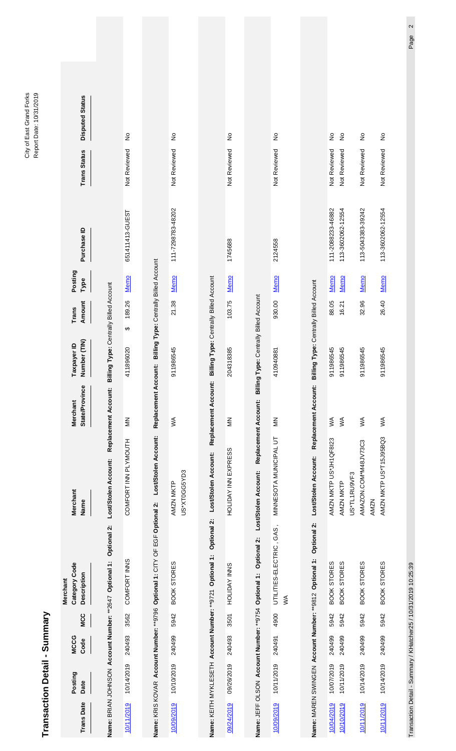|                                           | Transaction Detail - Summary                         |                     |              |                                                                             |                                                     |                            |                                                             |                 |                 |                                        |                              | Nobel Done Torrent Library                  |  |
|-------------------------------------------|------------------------------------------------------|---------------------|--------------|-----------------------------------------------------------------------------|-----------------------------------------------------|----------------------------|-------------------------------------------------------------|-----------------|-----------------|----------------------------------------|------------------------------|---------------------------------------------|--|
| $\boldsymbol{\omega}$<br><b>Trans Dat</b> | Posting<br>Date                                      | <b>MCCG</b><br>Code | <b>MCC</b>   | Category Code<br><b>Description</b><br>Merchant                             | Merchant<br>Name                                    | State/Province<br>Merchant | Number (TIN)<br>Taxpayer ID                                 | Amount<br>Trans | Posting<br>Type | Purchase ID                            | <b>Trans Status</b>          | <b>Disputed Status</b>                      |  |
|                                           |                                                      |                     |              | Optional 2:<br>Name: BRIAN JOHNSON Account Number: **2647 Optional 1:       | Lost/Stolen Account:                                | Replacement Account:       | Billing Type: Centrally Billed Account                      |                 |                 |                                        |                              |                                             |  |
| တ၊<br>10/11/201                           | 10/14/2019                                           | 240493              | 3562         | COMFORT INNS                                                                | COMFORT INN PLYMOUTH                                | $\leq$                     | ↮<br>411896020                                              | 189.26          | <b>Memo</b>     | 651411413-GUEST                        | Not Reviewed                 | $\frac{1}{2}$                               |  |
|                                           |                                                      |                     |              | Name: KRIS KOVAR Account Number: **9796 Optional 1: CITY OF EGF Optional 2: | Lost/Stolen Account:                                |                            | Replacement Account: Billing Type: Centrally Billed Account |                 |                 |                                        |                              |                                             |  |
| 10/09/2019                                | 10/10/2019                                           | 240499              | 5942         | BOOK STORES                                                                 | US*XT0GG5YD3<br>AMZN MKTP                           | $\leq$                     | 911986545                                                   | 21.38           | <u>Memo</u>     | 111-7298783-48202                      | Not Reviewed                 | $\frac{1}{2}$                               |  |
|                                           |                                                      |                     |              | Name: KEITH MYKLESETH Account Number: ** 9721 Optional 1: Optional 2:       | Lost/Stolen Account:                                | Replacement Account:       | Billing Type: Centrally Billed Account                      |                 |                 |                                        |                              |                                             |  |
| 09/24/2019                                | 09/26/2019                                           | 240493              | 3501         | HOLIDAY INNS                                                                | HOLIDAY INN EXPRESS                                 | $\leq$                     | 204318385                                                   | 103.75          | <u>Memo</u>     | 1745688                                | Not Reviewed                 | $\frac{1}{2}$                               |  |
|                                           | Name: JEFF OLSON Account Number: ** 9754 Optional 1: |                     |              | Optional 2:                                                                 | Replacement Account:<br>Lost/Stolen Account:        |                            | Billing Type: Centrally Billed Account                      |                 |                 |                                        |                              |                                             |  |
| வ<br>10/09/201                            | 10/11/2019                                           | 240491              | 4900         | UTILITIES-ELECTRIC, GAS,<br>$\leq$                                          | MINNESOTA MUNICIPAL UT                              | $\leq$                     | 410940881                                                   | 930.00          | Memo            | 2124558                                | Not Reviewed                 | $\frac{1}{2}$                               |  |
|                                           |                                                      |                     |              | Optional 2:<br>Name: MAREN SWINGEN Account Number: **9812 Optional 1:       | Lost/Stolen Account:                                | Replacement Account:       | Billing Type: Centrally Billed Account                      |                 |                 |                                        |                              |                                             |  |
| 10/04/2019<br>ி<br>10/10/201              | 10/07/2019<br>10/11/2019                             | 240499<br>240499    | 5942<br>5942 | <b>BOOK STORES</b><br><b>BOOK STORES</b>                                    | AMZN MKTP US*JH1QF8I23<br>US*TL1RU9VF3<br>AMZN MKTP | $\leq$<br>$\lesssim$       | 911986545<br>911986545                                      | 88.05<br>16.21  | Memo<br>Memo    | 111-2088233-46882<br>113-3602062-12554 | Not Reviewed<br>Not Reviewed | $\frac{1}{2}$<br>$\frac{\circ}{\mathsf{Z}}$ |  |
| வ<br>10/11/201                            | 10/14/2019                                           | 240499              | 5942         | <b>BOOK STORES</b>                                                          | AMAZON.COM*M48JV73C3<br><b>AMZN</b>                 | $\lesssim$                 | 911986545                                                   | 32.96           | <b>Memo</b>     | 113-5043383-39242                      | Not Reviewed                 | $\stackrel{\mathtt{o}}{z}$                  |  |
| 10/11/2019                                | 10/14/2019                                           | 240499              | 5942         | <b>BOOK STORES</b>                                                          | AMZN MKTP US*T15J95BQ3                              | $\leqslant$                | 911986545                                                   | 26.40           | <b>Memo</b>     | 113-3602062-12554                      | Not Reviewed                 | $\frac{1}{2}$                               |  |

Transaction Detail - Sumary / KHatcher25 / 10/31/2019 10:25:39 Page 2 Transaction Detail - Summary / KHatcher25 / 10/31/2019 10:25:39

City of East Grand Forks<br>Report Date: 10/31/2019 City of East Grand Forks Report Date: 10/31/2019

Page 2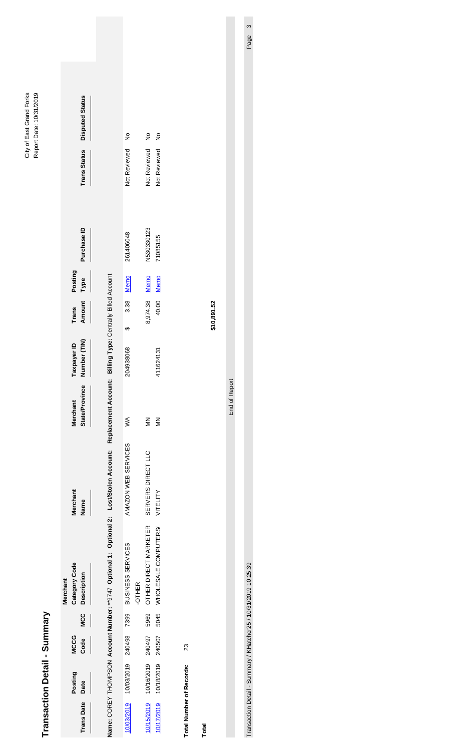| Transacti         | on Detail - Summary |                     |            |                                                                                                                                                      |                     |                            |                             |                 |                 |             |                     |                        |           |
|-------------------|---------------------|---------------------|------------|------------------------------------------------------------------------------------------------------------------------------------------------------|---------------------|----------------------------|-----------------------------|-----------------|-----------------|-------------|---------------------|------------------------|-----------|
| <b>Trans Date</b> | Posting<br>Date     | <b>MCCG</b><br>Code | <b>MCC</b> | Category Code<br>Description<br><b>Merchant</b>                                                                                                      | Merchant<br>Name    | State/Province<br>Merchant | Number (TIN)<br>Taxpayer ID | Amount<br>Trans | Posting<br>Туре | Purchase ID | <b>Trans Status</b> | <b>Disputed Status</b> |           |
|                   |                     |                     |            | Name: COREY THOMPSON Account Number: **9747 Optional 1: Optional 2: Lost/Stolen Account: Replacement Account: Billing Type: Centrally Billed Account |                     |                            |                             |                 |                 |             |                     |                        |           |
| 10/03/2019        | 10/03/2019 240498   |                     | 7399       | BUSINESS SERVICES<br>-OTHER                                                                                                                          | AMAZON WEB SERVICES | Ş                          | ↮<br>204938068              | 3.38            | Memo            | 261406048   | Not Reviewed        | $\frac{1}{2}$          |           |
| 10/15/2019        | 10/16/2019          | 240497              | 5969       | OTHER DIRECT MARKETER                                                                                                                                | SERVERS DIRECT LLC  | $\leq$                     |                             | 8,974.38 Memo   |                 | N530330123  | Not Reviewed        | $\frac{1}{2}$          |           |
| 10/17/2019        | 10/18/2019          | 240507              | 5045       | WHOLESALE COMPUTERS/                                                                                                                                 | VITELITY            | $\leq$                     | 411624131                   | 40.00           | Memo            | 71085155    | Not Reviewed        | ş                      |           |
| Total Number      | of Records:         | 23                  |            |                                                                                                                                                      |                     |                            |                             |                 |                 |             |                     |                        |           |
| Total             |                     |                     |            |                                                                                                                                                      |                     |                            |                             | \$10,891.52     |                 |             |                     |                        |           |
|                   |                     |                     |            |                                                                                                                                                      |                     |                            |                             |                 |                 |             |                     |                        |           |
|                   |                     |                     |            |                                                                                                                                                      |                     | End of Report              |                             |                 |                 |             |                     |                        |           |
|                   |                     |                     |            | Transaction Detail - Summary / KHatcher25 / 10/31/2019 10:25:39                                                                                      |                     |                            |                             |                 |                 |             |                     |                        | ო<br>Page |

City of East Grand Forks Report Date: 10/31/2019

City of East Grand Forks<br>Report Date: 10/31/2019

Page 3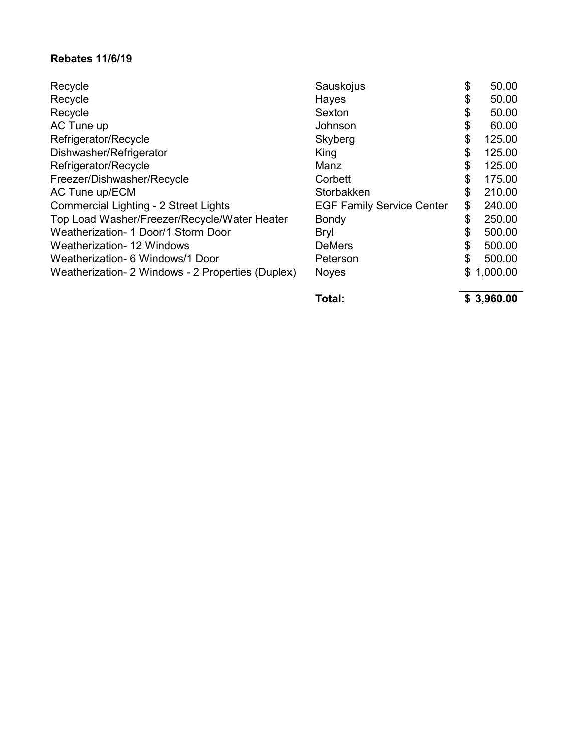#### **Rebates 11/6/19**

| Recycle                                           | Sauskojus                        | \$<br>50.00    |
|---------------------------------------------------|----------------------------------|----------------|
| Recycle                                           | Hayes                            | \$<br>50.00    |
| Recycle                                           | Sexton                           | \$<br>50.00    |
| AC Tune up                                        | Johnson                          | \$<br>60.00    |
| Refrigerator/Recycle                              | Skyberg                          | \$<br>125.00   |
| Dishwasher/Refrigerator                           | King                             | \$<br>125.00   |
| Refrigerator/Recycle                              | Manz                             | \$<br>125.00   |
| Freezer/Dishwasher/Recycle                        | Corbett                          | \$<br>175.00   |
| AC Tune up/ECM                                    | Storbakken                       | \$<br>210.00   |
| Commercial Lighting - 2 Street Lights             | <b>EGF Family Service Center</b> | \$<br>240.00   |
| Top Load Washer/Freezer/Recycle/Water Heater      | <b>Bondy</b>                     | \$<br>250.00   |
| Weatherization- 1 Door/1 Storm Door               | <b>Bryl</b>                      | \$<br>500.00   |
| <b>Weatherization-12 Windows</b>                  | <b>DeMers</b>                    | \$<br>500.00   |
| Weatherization- 6 Windows/1 Door                  | Peterson                         | \$<br>500.00   |
| Weatherization- 2 Windows - 2 Properties (Duplex) | <b>Noyes</b>                     | \$<br>1,000.00 |

Total: **\$ 3,960.00**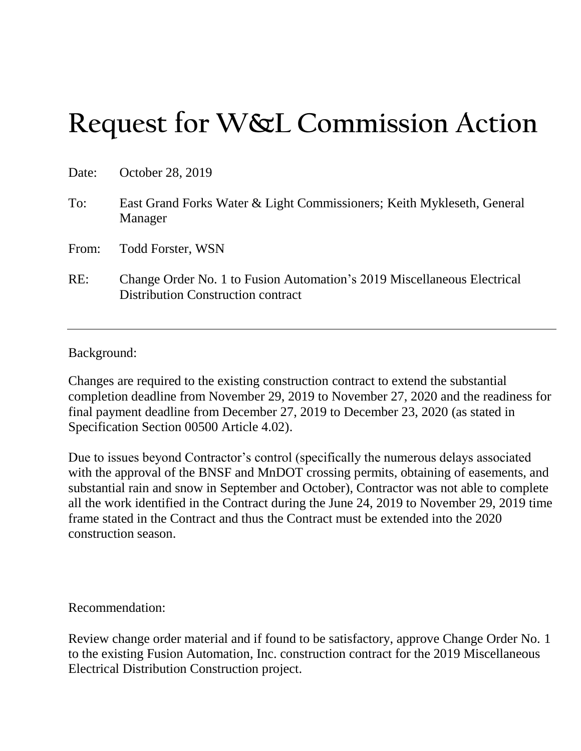# **Request for W&L Commission Action**

| Date: | October 28, 2019                                                                                              |
|-------|---------------------------------------------------------------------------------------------------------------|
| To:   | East Grand Forks Water & Light Commissioners; Keith Mykleseth, General<br>Manager                             |
| From: | <b>Todd Forster, WSN</b>                                                                                      |
| RE:   | Change Order No. 1 to Fusion Automation's 2019 Miscellaneous Electrical<br>Distribution Construction contract |

#### Background:

Changes are required to the existing construction contract to extend the substantial completion deadline from November 29, 2019 to November 27, 2020 and the readiness for final payment deadline from December 27, 2019 to December 23, 2020 (as stated in Specification Section 00500 Article 4.02).

Due to issues beyond Contractor's control (specifically the numerous delays associated with the approval of the BNSF and MnDOT crossing permits, obtaining of easements, and substantial rain and snow in September and October), Contractor was not able to complete all the work identified in the Contract during the June 24, 2019 to November 29, 2019 time frame stated in the Contract and thus the Contract must be extended into the 2020 construction season.

Recommendation:

Review change order material and if found to be satisfactory, approve Change Order No. 1 to the existing Fusion Automation, Inc. construction contract for the 2019 Miscellaneous Electrical Distribution Construction project.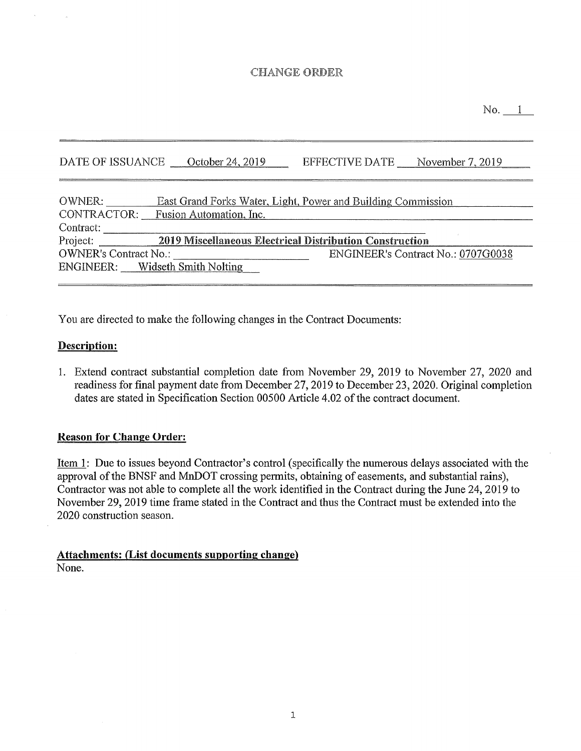#### **CHANGE ORDER**

No. 1

EFFECTIVE DATE November 7, 2019 DATE OF ISSUANCE October 24, 2019

| OWNER:                       |                                     | East Grand Forks Water, Light, Power and Building Commission |
|------------------------------|-------------------------------------|--------------------------------------------------------------|
|                              | CONTRACTOR: Fusion Automation, Inc. |                                                              |
| Contract:                    |                                     |                                                              |
| Project:                     |                                     | 2019 Miscellaneous Electrical Distribution Construction      |
| <b>OWNER's Contract No.:</b> |                                     | ENGINEER's Contract No.: 0707G0038                           |
|                              | ENGINEER: Widseth Smith Nolting     |                                                              |

You are directed to make the following changes in the Contract Documents:

#### **Description:**

1. Extend contract substantial completion date from November 29, 2019 to November 27, 2020 and readiness for final payment date from December 27, 2019 to December 23, 2020. Original completion dates are stated in Specification Section 00500 Article 4.02 of the contract document.

#### **Reason for Change Order:**

<u>Item 1</u>: Due to issues beyond Contractor's control (specifically the numerous delays associated with the approval of the BNSF and MnDOT crossing permits, obtaining of easements, and substantial rains), Contractor was not able to complete all the work identified in the Contract during the June 24, 2019 to November 29, 2019 time frame stated in the Contract and thus the Contract must be extended into the 2020 construction season.

**Attachments: (List documents supporting change)** None.